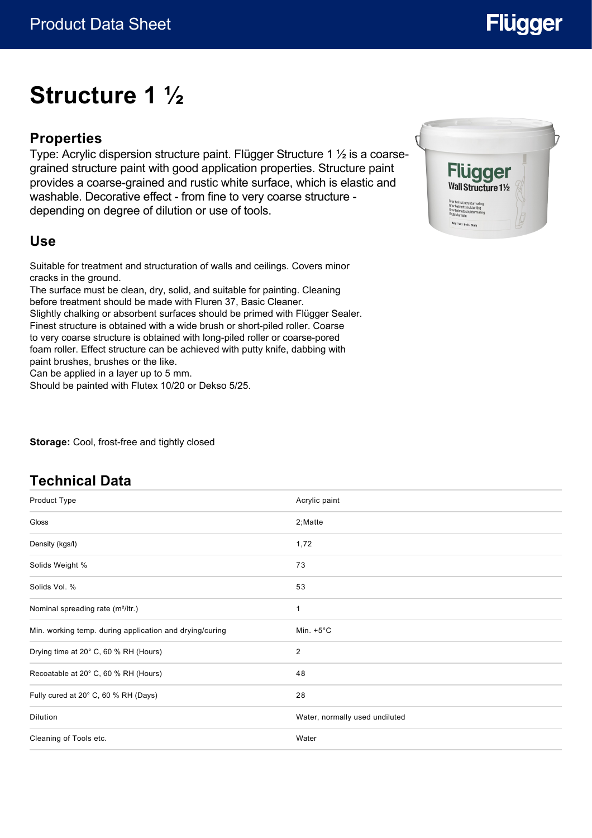# **Flügger**

## **Structure 1 ½**

### **Properties**

Type: Acrylic dispersion structure paint. Flügger Structure 1 ½ is a coarsegrained structure paint with good application properties. Structure paint provides a coarse-grained and rustic white surface, which is elastic and washable. Decorative effect - from fine to very coarse structure depending on degree of dilution or use of tools.

#### **Use**

Suitable for treatment and structuration of walls and ceilings. Covers minor cracks in the ground.

The surface must be clean, dry, solid, and suitable for painting. Cleaning before treatment should be made with Fluren 37, Basic Cleaner. Slightly chalking or absorbent surfaces should be primed with Flügger Sealer. Finest structure is obtained with a wide brush or short-piled roller. Coarse to very coarse structure is obtained with long-piled roller or coarse-pored foam roller. Effect structure can be achieved with putty knife, dabbing with paint brushes, brushes or the like.

Can be applied in a layer up to 5 mm.

Should be painted with Flutex 10/20 or Dekso 5/25.

**Storage:** Cool, frost-free and tightly closed

#### **Technical Data**

| Product Type                                            | Acrylic paint                  |
|---------------------------------------------------------|--------------------------------|
| Gloss                                                   | 2; Matte                       |
| Density (kgs/l)                                         | 1,72                           |
| Solids Weight %                                         | 73                             |
| Solids Vol. %                                           | 53                             |
| Nominal spreading rate (m <sup>2</sup> /ltr.)           | 1                              |
| Min. working temp. during application and drying/curing | Min. $+5^{\circ}$ C            |
| Drying time at 20° C, 60 % RH (Hours)                   | $\overline{2}$                 |
| Recoatable at 20° C, 60 % RH (Hours)                    | 48                             |
| Fully cured at 20° C, 60 % RH (Days)                    | 28                             |
| <b>Dilution</b>                                         | Water, normally used undiluted |
| Cleaning of Tools etc.                                  | Water                          |